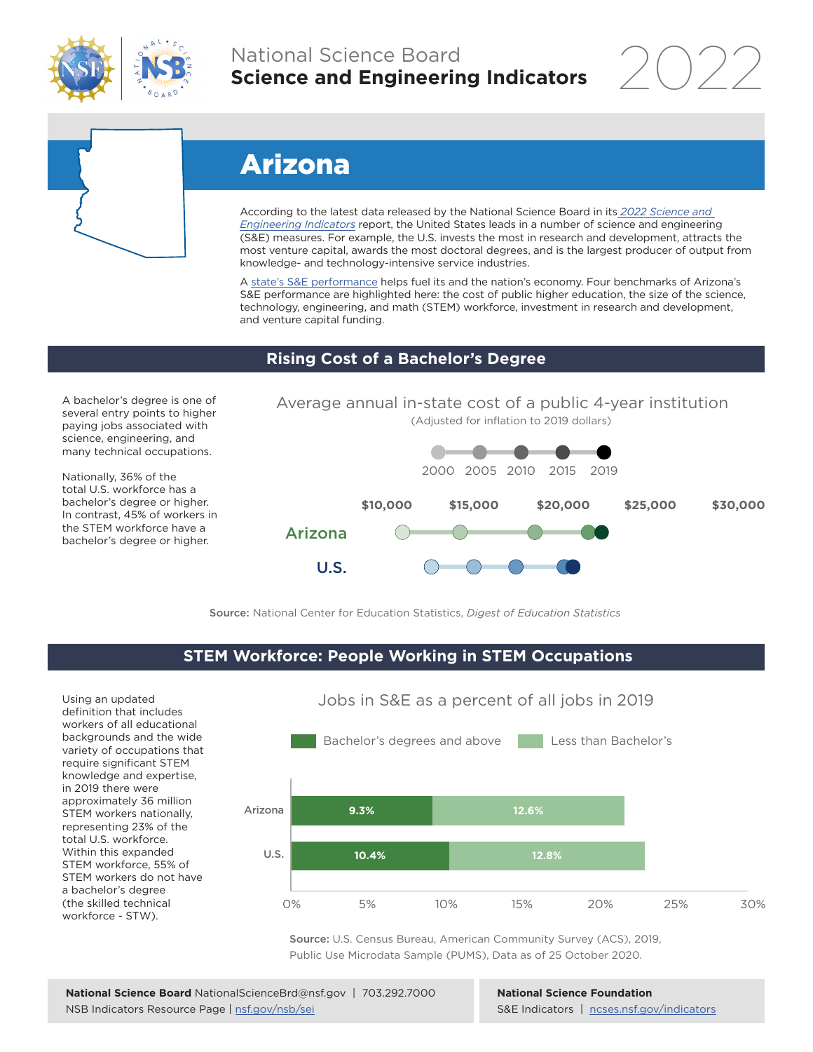

## National Science Board **Science and Engineering Indicators**

2022



# Arizona

According to the latest data released by the National Science Board in its *[2022 Science and](https://www.ncses.nsf.gov/indicators)  [Engineering Indicators](https://www.ncses.nsf.gov/indicators)* report, the United States leads in a number of science and engineering (S&E) measures. For example, the U.S. invests the most in research and development, attracts the most venture capital, awards the most doctoral degrees, and is the largest producer of output from knowledge- and technology-intensive service industries.

A state's S&E performance helps fuel its and the nation's economy. Four benchmarks of Arizona's S&E performance are highlighted here: the cost of public higher education, the size of the science, technology, engineering, and math (STEM) workforce, investment in research and development, and venture capital funding.

Average annual in-state cost of a public 4-year institution

#### **Rising Cost of a Bachelor's Degree**

A bachelor's degree is one of several entry points to higher paying jobs associated with science, engineering, and many technical occupations.

Nationally, 36% of the total U.S. workforce has a bachelor's degree or higher. In contrast, 45% of workers in the STEM workforce have a bachelor's degree or higher.



Source: National Center for Education Statistics, *Digest of Education Statistics*

#### **STEM Workforce: People Working in STEM Occupations**

Using an updated definition that includes workers of all educational backgrounds and the wide variety of occupations that require significant STEM knowledge and expertise, in 2019 there were approximately 36 million STEM workers nationally, representing 23% of the total U.S. workforce. Within this expanded STEM workforce, 55% of STEM workers do not have a bachelor's degree (the skilled technical workforce - STW).



Source: U.S. Census Bureau, American Community Survey (ACS), 2019, Public Use Microdata Sample (PUMS), Data as of 25 October 2020.

**National Science Foundation** S&E Indicators | [ncses.nsf.gov/indicators](https://www.ncses.nsf.gov/indicators)

### Jobs in S&E as a percent of all jobs in 2019